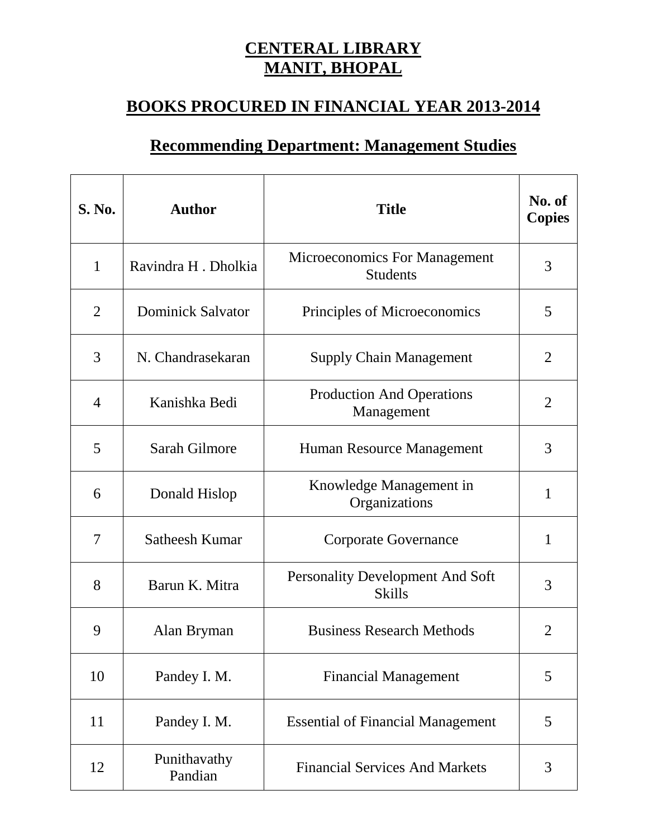## **CENTERAL LIBRARY MANIT, BHOPAL**

## **BOOKS PROCURED IN FINANCIAL YEAR 2013-2014**

## **Recommending Department: Management Studies**

| <b>S. No.</b>  | <b>Author</b>            | <b>Title</b>                                      | No. of<br><b>Copies</b> |
|----------------|--------------------------|---------------------------------------------------|-------------------------|
| $\mathbf{1}$   | Ravindra H. Dholkia      | Microeconomics For Management<br><b>Students</b>  | 3                       |
| $\overline{2}$ | <b>Dominick Salvator</b> | Principles of Microeconomics                      | 5                       |
| 3              | N. Chandrasekaran        | <b>Supply Chain Management</b>                    | $\overline{2}$          |
| $\overline{4}$ | Kanishka Bedi            | <b>Production And Operations</b><br>Management    | $\overline{2}$          |
| 5              | Sarah Gilmore            | Human Resource Management                         | 3                       |
| 6              | Donald Hislop            | Knowledge Management in<br>Organizations          | $\mathbf{1}$            |
| 7              | Satheesh Kumar           | <b>Corporate Governance</b>                       | $\mathbf{1}$            |
| 8              | Barun K. Mitra           | Personality Development And Soft<br><b>Skills</b> | 3                       |
| 9              | Alan Bryman              | <b>Business Research Methods</b>                  | $\overline{2}$          |
| 10             | Pandey I. M.             | <b>Financial Management</b>                       | 5                       |
| 11             | Pandey I. M.             | <b>Essential of Financial Management</b>          | 5                       |
| 12             | Punithavathy<br>Pandian  | <b>Financial Services And Markets</b>             | 3                       |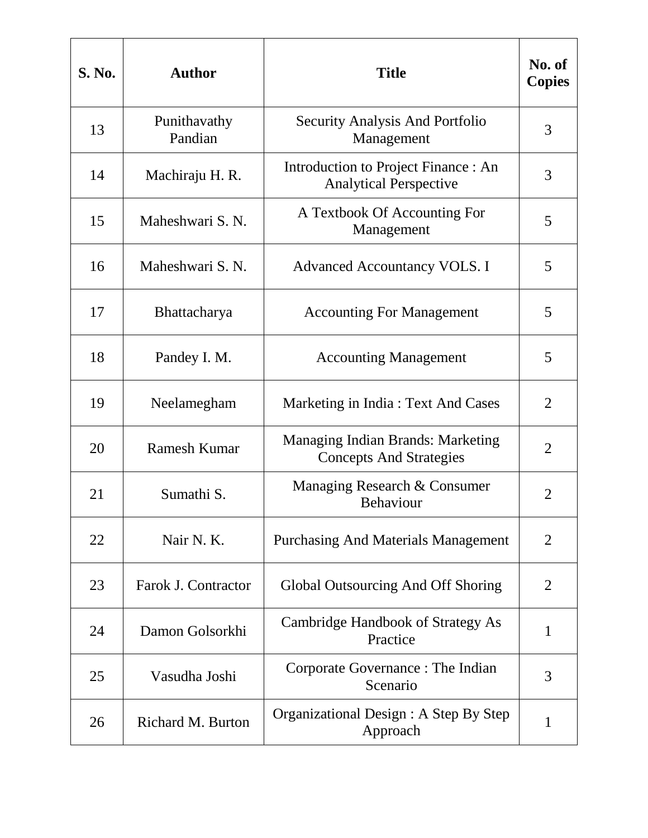| <b>S. No.</b> | <b>Author</b>           | <b>Title</b>                                                               | No. of<br><b>Copies</b> |
|---------------|-------------------------|----------------------------------------------------------------------------|-------------------------|
| 13            | Punithavathy<br>Pandian | Security Analysis And Portfolio<br>Management                              | 3                       |
| 14            | Machiraju H. R.         | Introduction to Project Finance : An<br><b>Analytical Perspective</b>      | 3                       |
| 15            | Maheshwari S. N.        | A Textbook Of Accounting For<br>Management                                 | 5                       |
| 16            | Maheshwari S. N.        | <b>Advanced Accountancy VOLS. I</b>                                        | 5                       |
| 17            | Bhattacharya            | <b>Accounting For Management</b>                                           | 5                       |
| 18            | Pandey I. M.            | <b>Accounting Management</b>                                               | 5                       |
| 19            | Neelamegham             | Marketing in India: Text And Cases                                         | $\overline{2}$          |
| 20            | <b>Ramesh Kumar</b>     | <b>Managing Indian Brands: Marketing</b><br><b>Concepts And Strategies</b> | $\overline{2}$          |
| 21            | Sumathi S.              | Managing Research & Consumer<br><b>Behaviour</b>                           | 2                       |
| 22            | Nair N. K.              | <b>Purchasing And Materials Management</b>                                 | $\overline{2}$          |
| 23            | Farok J. Contractor     | Global Outsourcing And Off Shoring                                         | $\overline{2}$          |
| 24            | Damon Golsorkhi         | Cambridge Handbook of Strategy As<br>Practice                              | 1                       |
| 25            | Vasudha Joshi           | Corporate Governance : The Indian<br>Scenario                              | 3                       |
| 26            | Richard M. Burton       | Organizational Design : A Step By Step<br>Approach                         | 1                       |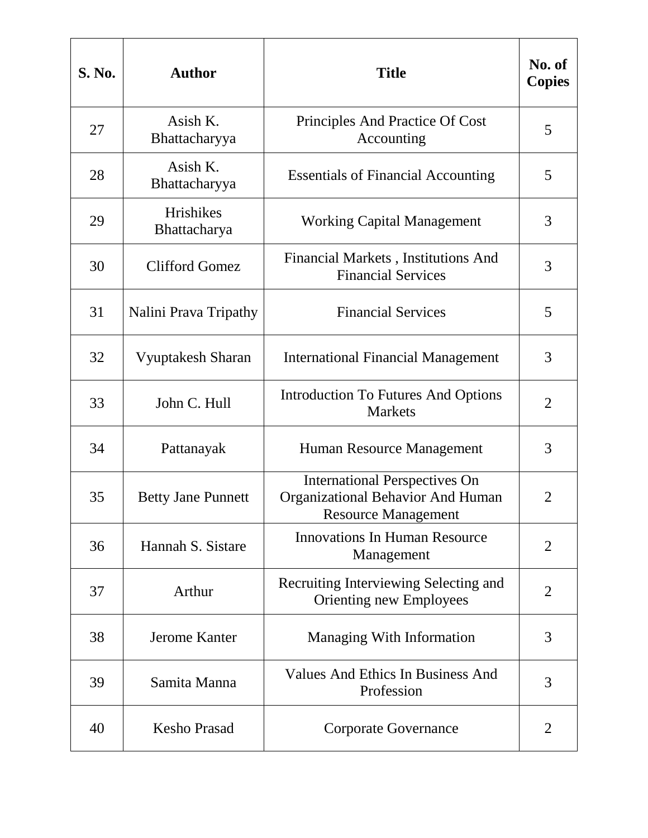| <b>S. No.</b> | <b>Author</b>             | <b>Title</b>                                                                                                   | No. of<br><b>Copies</b> |
|---------------|---------------------------|----------------------------------------------------------------------------------------------------------------|-------------------------|
| 27            | Asish K.<br>Bhattacharyya | Principles And Practice Of Cost<br>Accounting                                                                  | 5                       |
| 28            | Asish K.<br>Bhattacharyya | <b>Essentials of Financial Accounting</b>                                                                      | 5                       |
| 29            | Hrishikes<br>Bhattacharya | <b>Working Capital Management</b>                                                                              | 3                       |
| 30            | <b>Clifford Gomez</b>     | Financial Markets, Institutions And<br><b>Financial Services</b>                                               | 3                       |
| 31            | Nalini Prava Tripathy     | <b>Financial Services</b>                                                                                      | 5                       |
| 32            | Vyuptakesh Sharan         | <b>International Financial Management</b>                                                                      | 3                       |
| 33            | John C. Hull              | <b>Introduction To Futures And Options</b><br><b>Markets</b>                                                   | $\overline{2}$          |
| 34            | Pattanayak                | Human Resource Management                                                                                      | 3                       |
| 35            | <b>Betty Jane Punnett</b> | <b>International Perspectives On</b><br><b>Organizational Behavior And Human</b><br><b>Resource Management</b> | $\overline{2}$          |
| 36            | Hannah S. Sistare         | <b>Innovations In Human Resource</b><br>Management                                                             | $\overline{2}$          |
| 37            | Arthur                    | Recruiting Interviewing Selecting and<br>Orienting new Employees                                               | $\overline{2}$          |
| 38            | <b>Jerome Kanter</b>      | <b>Managing With Information</b>                                                                               | 3                       |
| 39            | Samita Manna              | Values And Ethics In Business And<br>Profession                                                                | 3                       |
| 40            | <b>Kesho Prasad</b>       | <b>Corporate Governance</b>                                                                                    | $\overline{2}$          |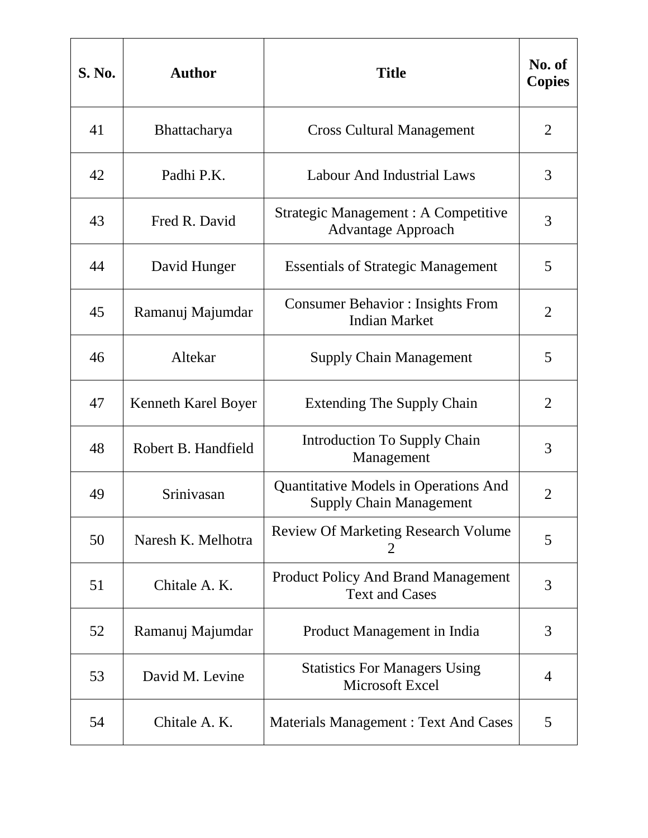| <b>S. No.</b> | <b>Author</b>       | <b>Title</b>                                                                   | No. of<br><b>Copies</b> |
|---------------|---------------------|--------------------------------------------------------------------------------|-------------------------|
| 41            | <b>Bhattacharya</b> | <b>Cross Cultural Management</b>                                               | $\overline{2}$          |
| 42            | Padhi P.K.          | <b>Labour And Industrial Laws</b>                                              | 3                       |
| 43            | Fred R. David       | <b>Strategic Management: A Competitive</b><br><b>Advantage Approach</b>        | 3                       |
| 44            | David Hunger        | <b>Essentials of Strategic Management</b>                                      | 5                       |
| 45            | Ramanuj Majumdar    | <b>Consumer Behavior: Insights From</b><br><b>Indian Market</b>                | $\overline{2}$          |
| 46            | Altekar             | <b>Supply Chain Management</b>                                                 | 5                       |
| 47            | Kenneth Karel Boyer | <b>Extending The Supply Chain</b>                                              | $\overline{2}$          |
| 48            | Robert B. Handfield | <b>Introduction To Supply Chain</b><br>Management                              | 3                       |
| 49            | Srinivasan          | <b>Quantitative Models in Operations And</b><br><b>Supply Chain Management</b> | $\overline{2}$          |
| 50            | Naresh K. Melhotra  | <b>Review Of Marketing Research Volume</b><br>2                                | 5                       |
| 51            | Chitale A. K.       | <b>Product Policy And Brand Management</b><br><b>Text and Cases</b>            | 3                       |
| 52            | Ramanuj Majumdar    | Product Management in India                                                    | 3                       |
| 53            | David M. Levine     | <b>Statistics For Managers Using</b><br>Microsoft Excel                        | 4                       |
| 54            | Chitale A. K.       | <b>Materials Management: Text And Cases</b>                                    | 5                       |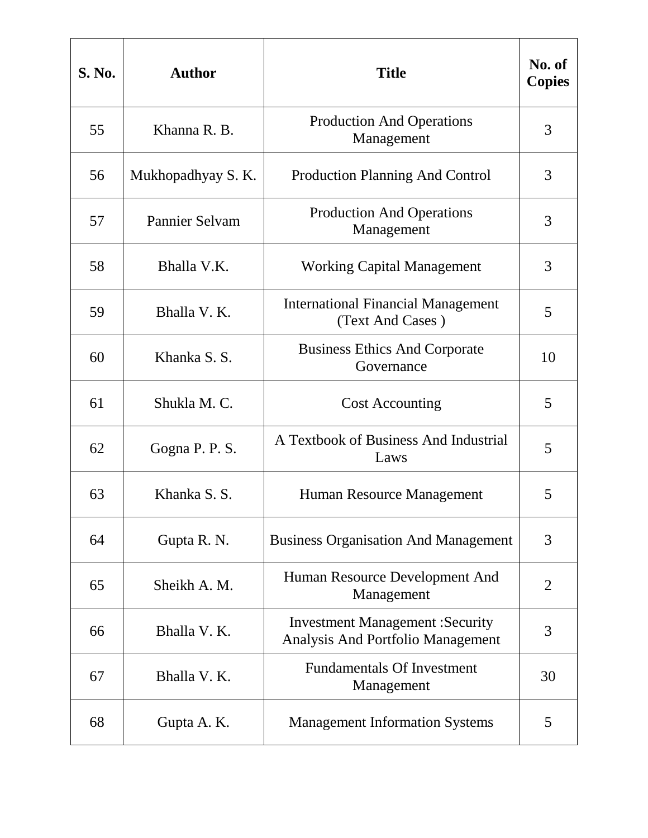| <b>S. No.</b> | <b>Author</b>         | <b>Title</b>                                                                        | No. of<br><b>Copies</b> |
|---------------|-----------------------|-------------------------------------------------------------------------------------|-------------------------|
| 55            | Khanna R. B.          | <b>Production And Operations</b><br>Management                                      | 3                       |
| 56            | Mukhopadhyay S.K.     | <b>Production Planning And Control</b>                                              | 3                       |
| 57            | <b>Pannier Selvam</b> | <b>Production And Operations</b><br>Management                                      | 3                       |
| 58            | Bhalla V.K.           | <b>Working Capital Management</b>                                                   | 3                       |
| 59            | Bhalla V.K.           | <b>International Financial Management</b><br>(Text And Cases)                       | 5                       |
| 60            | Khanka S.S.           | <b>Business Ethics And Corporate</b><br>Governance                                  | 10                      |
| 61            | Shukla M.C.           | <b>Cost Accounting</b>                                                              | 5                       |
| 62            | Gogna P. P. S.        | A Textbook of Business And Industrial<br>Laws                                       | 5                       |
| 63            | Khanka S.S.           | Human Resource Management                                                           | 5                       |
| 64            | Gupta R. N.           | <b>Business Organisation And Management</b>                                         | 3                       |
| 65            | Sheikh A. M.          | Human Resource Development And<br>Management                                        | $\overline{2}$          |
| 66            | Bhalla V.K.           | <b>Investment Management : Security</b><br><b>Analysis And Portfolio Management</b> | 3                       |
| 67            | Bhalla V.K.           | <b>Fundamentals Of Investment</b><br>Management                                     | 30                      |
| 68            | Gupta A.K.            | <b>Management Information Systems</b>                                               | 5                       |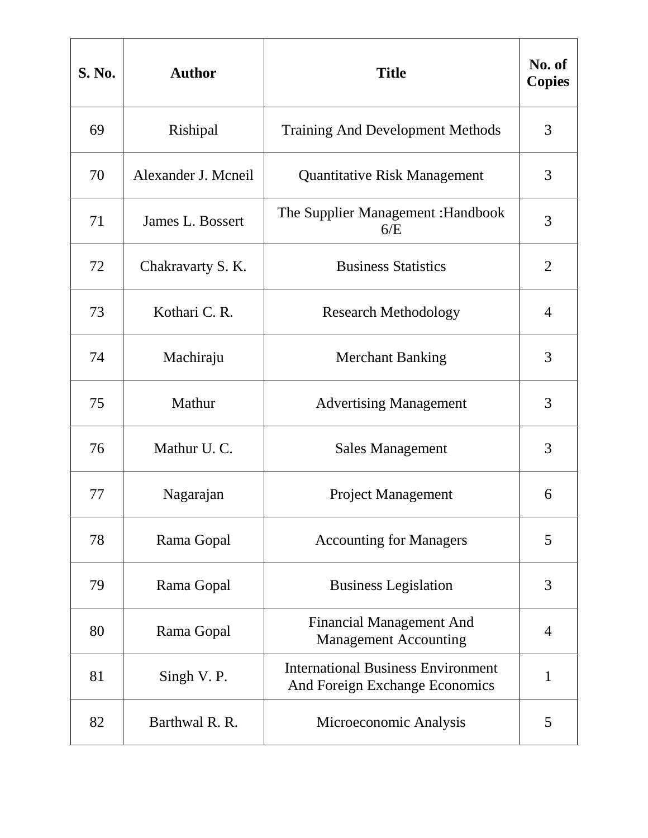| <b>S. No.</b> | <b>Author</b>       | <b>Title</b>                                                                | No. of<br><b>Copies</b> |
|---------------|---------------------|-----------------------------------------------------------------------------|-------------------------|
| 69            | Rishipal            | <b>Training And Development Methods</b>                                     | 3                       |
| 70            | Alexander J. Mcneil | <b>Quantitative Risk Management</b>                                         | 3                       |
| 71            | James L. Bossert    | The Supplier Management : Handbook<br>6/E                                   | 3                       |
| 72            | Chakravarty S. K.   | <b>Business Statistics</b>                                                  | $\overline{2}$          |
| 73            | Kothari C. R.       | <b>Research Methodology</b>                                                 | $\overline{4}$          |
| 74            | Machiraju           | <b>Merchant Banking</b>                                                     | 3                       |
| 75            | Mathur              | <b>Advertising Management</b>                                               | 3                       |
| 76            | Mathur U.C.         | <b>Sales Management</b>                                                     | 3                       |
| 77            | Nagarajan           | <b>Project Management</b>                                                   | 6                       |
| 78            | Rama Gopal          | <b>Accounting for Managers</b>                                              | 5                       |
| 79            | Rama Gopal          | <b>Business Legislation</b>                                                 | 3                       |
| 80            | Rama Gopal          | <b>Financial Management And</b><br><b>Management Accounting</b>             | 4                       |
| 81            | Singh V.P.          | <b>International Business Environment</b><br>And Foreign Exchange Economics | 1                       |
| 82            | Barthwal R. R.      | Microeconomic Analysis                                                      | 5                       |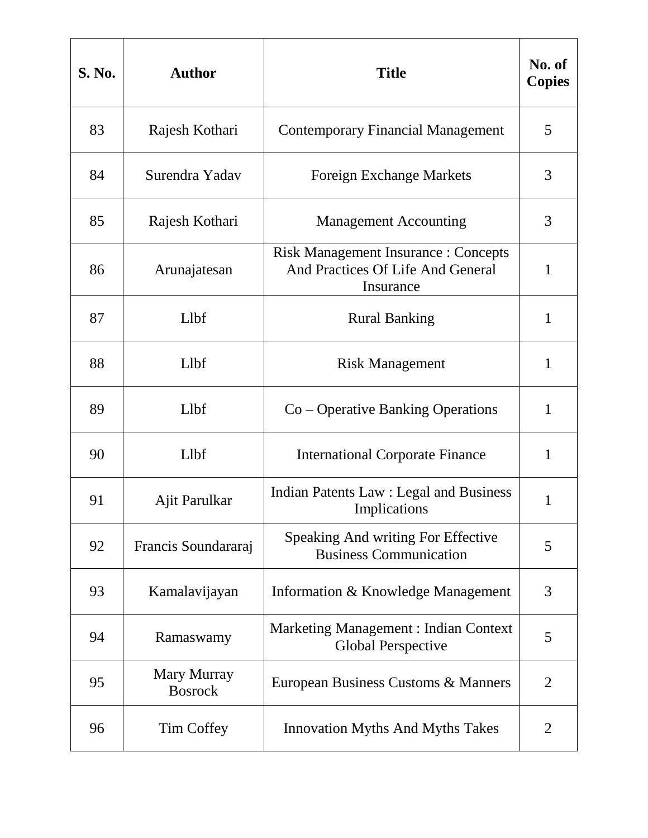| <b>S. No.</b> | <b>Author</b>                 | <b>Title</b>                                                                                  | No. of<br><b>Copies</b> |
|---------------|-------------------------------|-----------------------------------------------------------------------------------------------|-------------------------|
| 83            | Rajesh Kothari                | <b>Contemporary Financial Management</b>                                                      | 5                       |
| 84            | Surendra Yadav                | <b>Foreign Exchange Markets</b>                                                               | 3                       |
| 85            | Rajesh Kothari                | <b>Management Accounting</b>                                                                  | 3                       |
| 86            | Arunajatesan                  | <b>Risk Management Insurance : Concepts</b><br>And Practices Of Life And General<br>Insurance | 1                       |
| 87            | Llbf                          | <b>Rural Banking</b>                                                                          | $\mathbf{1}$            |
| 88            | Llbf                          | <b>Risk Management</b>                                                                        | 1                       |
| 89            | Llbf                          | Co – Operative Banking Operations                                                             | 1                       |
| 90            | Llbf                          | <b>International Corporate Finance</b>                                                        | $\mathbf{1}$            |
| 91            | Ajit Parulkar                 | Indian Patents Law : Legal and Business<br>Implications                                       | 1                       |
| 92            | Francis Soundararaj           | Speaking And writing For Effective<br><b>Business Communication</b>                           | 5                       |
| 93            | Kamalavijayan                 | Information & Knowledge Management                                                            | 3                       |
| 94            | Ramaswamy                     | <b>Marketing Management: Indian Context</b><br><b>Global Perspective</b>                      | 5                       |
| 95            | Mary Murray<br><b>Bosrock</b> | European Business Customs & Manners                                                           | $\overline{2}$          |
| 96            | <b>Tim Coffey</b>             | <b>Innovation Myths And Myths Takes</b>                                                       | 2                       |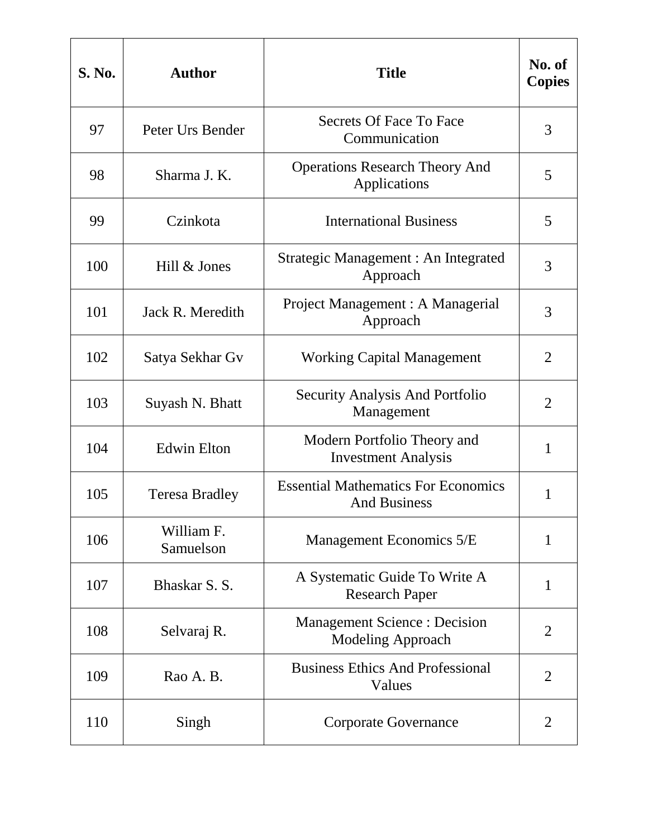| <b>S. No.</b> | <b>Author</b>           | <b>Title</b>                                                      | No. of<br><b>Copies</b> |
|---------------|-------------------------|-------------------------------------------------------------------|-------------------------|
| 97            | Peter Urs Bender        | Secrets Of Face To Face<br>Communication                          | 3                       |
| 98            | Sharma J. K.            | <b>Operations Research Theory And</b><br>Applications             | 5                       |
| 99            | Czinkota                | <b>International Business</b>                                     | 5                       |
| 100           | Hill & Jones            | Strategic Management : An Integrated<br>Approach                  | 3                       |
| 101           | Jack R. Meredith        | Project Management : A Managerial<br>Approach                     | 3                       |
| 102           | Satya Sekhar Gv         | <b>Working Capital Management</b>                                 | $\overline{2}$          |
| 103           | Suyash N. Bhatt         | <b>Security Analysis And Portfolio</b><br>Management              | $\overline{2}$          |
| 104           | <b>Edwin Elton</b>      | Modern Portfolio Theory and<br><b>Investment Analysis</b>         | 1                       |
| 105           | <b>Teresa Bradley</b>   | <b>Essential Mathematics For Economics</b><br><b>And Business</b> | 1                       |
| 106           | William F.<br>Samuelson | Management Economics 5/E                                          | $\mathbf{1}$            |
| 107           | Bhaskar S. S.           | A Systematic Guide To Write A<br><b>Research Paper</b>            | $\mathbf{1}$            |
| 108           | Selvaraj R.             | <b>Management Science : Decision</b><br>Modeling Approach         | $\overline{2}$          |
| 109           | Rao A. B.               | <b>Business Ethics And Professional</b><br>Values                 | $\overline{2}$          |
| 110           | Singh                   | <b>Corporate Governance</b>                                       | $\overline{2}$          |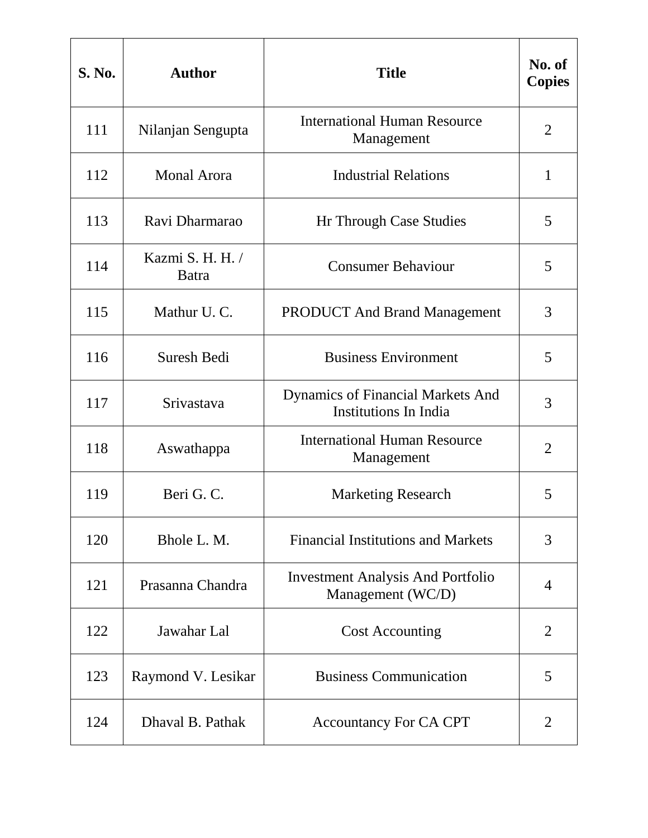| <b>S. No.</b> | <b>Author</b>             | <b>Title</b>                                                             | No. of<br><b>Copies</b> |
|---------------|---------------------------|--------------------------------------------------------------------------|-------------------------|
| 111           | Nilanjan Sengupta         | <b>International Human Resource</b><br>Management                        | $\overline{2}$          |
| 112           | <b>Monal Arora</b>        | <b>Industrial Relations</b>                                              | 1                       |
| 113           | Ravi Dharmarao            | Hr Through Case Studies                                                  | 5                       |
| 114           | Kazmi S. H. H. /<br>Batra | <b>Consumer Behaviour</b>                                                | 5                       |
| 115           | Mathur U.C.               | <b>PRODUCT And Brand Management</b>                                      | 3                       |
| 116           | Suresh Bedi               | <b>Business Environment</b>                                              | 5                       |
| 117           | Srivastava                | <b>Dynamics of Financial Markets And</b><br><b>Institutions In India</b> | 3                       |
| 118           | Aswathappa                | <b>International Human Resource</b><br>Management                        | $\overline{2}$          |
| 119           | Beri G.C.                 | <b>Marketing Research</b>                                                | 5                       |
| 120           | Bhole L. M.               | <b>Financial Institutions and Markets</b>                                | 3                       |
| 121           | Prasanna Chandra          | <b>Investment Analysis And Portfolio</b><br>Management (WC/D)            | 4                       |
| 122           | Jawahar Lal               | <b>Cost Accounting</b>                                                   | $\overline{2}$          |
| 123           | Raymond V. Lesikar        | <b>Business Communication</b>                                            | 5                       |
| 124           | Dhaval B. Pathak          | <b>Accountancy For CA CPT</b>                                            | $\overline{2}$          |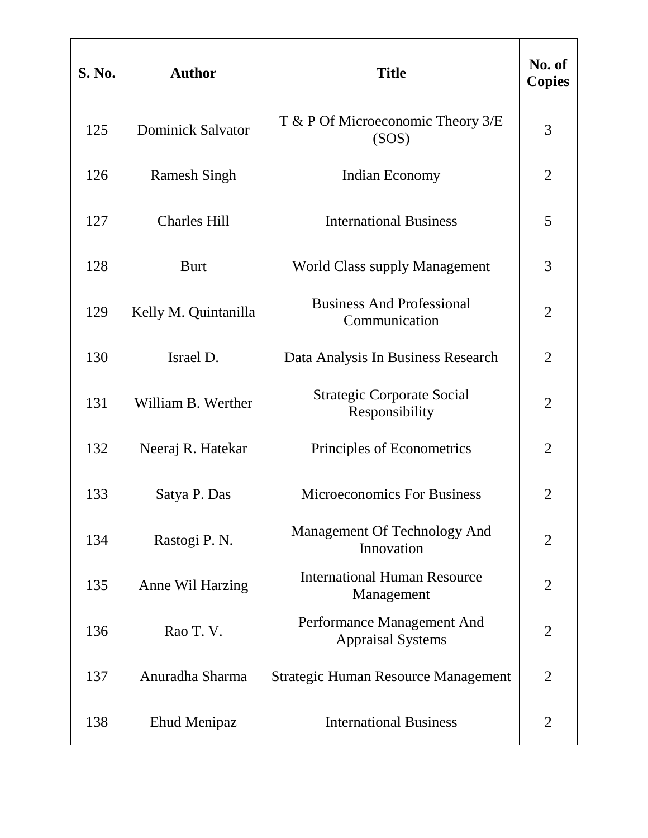| <b>S. No.</b> | <b>Author</b>            | <b>Title</b>                                           | No. of<br><b>Copies</b> |
|---------------|--------------------------|--------------------------------------------------------|-------------------------|
| 125           | <b>Dominick Salvator</b> | $T$ & P Of Microeconomic Theory $3/E$<br>(SOS)         | 3                       |
| 126           | <b>Ramesh Singh</b>      | Indian Economy                                         | 2                       |
| 127           | <b>Charles Hill</b>      | <b>International Business</b>                          | 5                       |
| 128           | <b>Burt</b>              | <b>World Class supply Management</b>                   | 3                       |
| 129           | Kelly M. Quintanilla     | <b>Business And Professional</b><br>Communication      | $\overline{2}$          |
| 130           | Israel D.                | Data Analysis In Business Research                     | 2                       |
| 131           | William B. Werther       | <b>Strategic Corporate Social</b><br>Responsibility    | $\overline{2}$          |
| 132           | Neeraj R. Hatekar        | Principles of Econometrics                             | $\overline{2}$          |
| 133           | Satya P. Das             | <b>Microeconomics For Business</b>                     | $\overline{2}$          |
| 134           | Rastogi P. N.            | Management Of Technology And<br>Innovation             | $\overline{2}$          |
| 135           | Anne Wil Harzing         | <b>International Human Resource</b><br>Management      | $\overline{2}$          |
| 136           | Rao T.V.                 | Performance Management And<br><b>Appraisal Systems</b> | $\overline{2}$          |
| 137           | Anuradha Sharma          | <b>Strategic Human Resource Management</b>             | $\overline{2}$          |
| 138           | Ehud Menipaz             | <b>International Business</b>                          | $\overline{2}$          |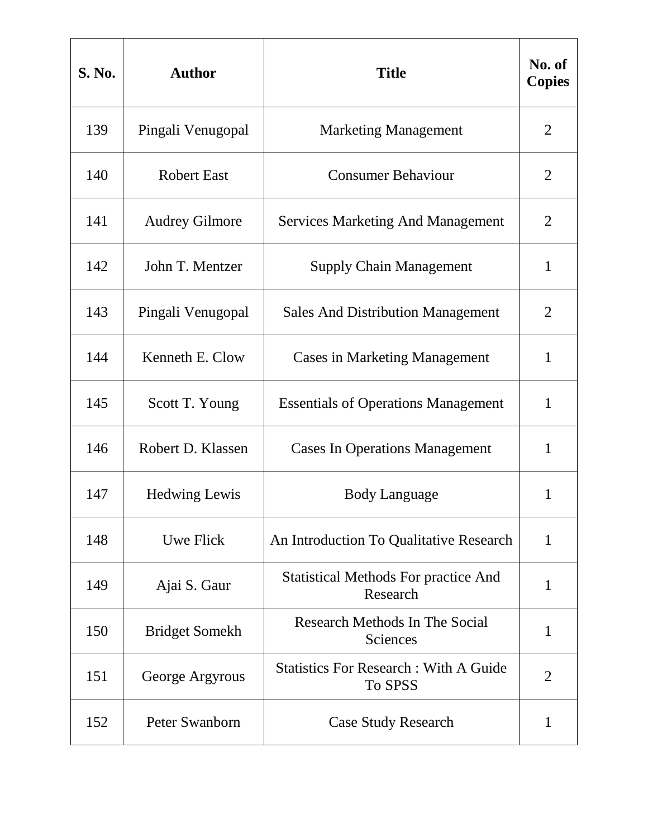| <b>S. No.</b> | <b>Author</b>         | <b>Title</b>                                            | No. of<br><b>Copies</b> |
|---------------|-----------------------|---------------------------------------------------------|-------------------------|
| 139           | Pingali Venugopal     | <b>Marketing Management</b>                             | $\overline{2}$          |
| 140           | <b>Robert East</b>    | <b>Consumer Behaviour</b>                               | 2                       |
| 141           | <b>Audrey Gilmore</b> | <b>Services Marketing And Management</b>                | 2                       |
| 142           | John T. Mentzer       | <b>Supply Chain Management</b>                          | $\mathbf{1}$            |
| 143           | Pingali Venugopal     | <b>Sales And Distribution Management</b>                | $\overline{2}$          |
| 144           | Kenneth E. Clow       | <b>Cases in Marketing Management</b>                    | $\mathbf{1}$            |
| 145           | Scott T. Young        | <b>Essentials of Operations Management</b>              | $\mathbf{1}$            |
| 146           | Robert D. Klassen     | <b>Cases In Operations Management</b>                   | 1                       |
| 147           | <b>Hedwing Lewis</b>  | <b>Body Language</b>                                    | 1                       |
| 148           | Uwe Flick             | An Introduction To Qualitative Research                 | $\mathbf{1}$            |
| 149           | Ajai S. Gaur          | <b>Statistical Methods For practice And</b><br>Research | 1                       |
| 150           | <b>Bridget Somekh</b> | Research Methods In The Social<br>Sciences              | $\mathbf{1}$            |
| 151           | George Argyrous       | <b>Statistics For Research: With A Guide</b><br>To SPSS | $\overline{2}$          |
| 152           | Peter Swanborn        | <b>Case Study Research</b>                              | 1                       |